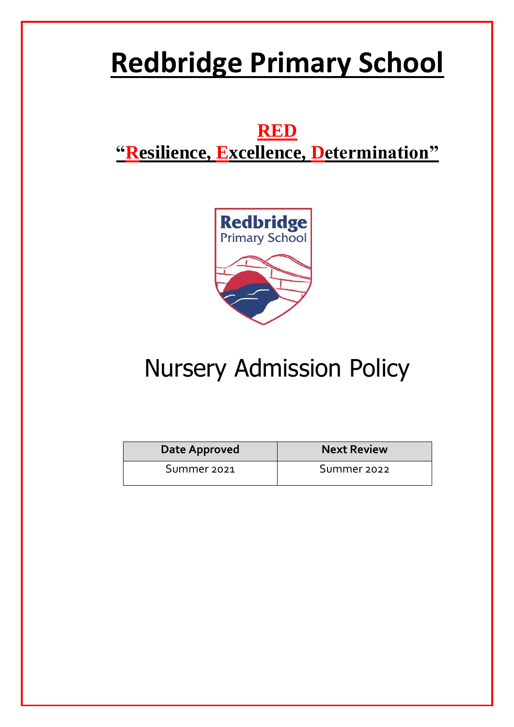# **Redbridge Primary School**

# **RED "Resilience, Excellence, Determination"**



# Nursery Admission Policy

| Date Approved | <b>Next Review</b> |
|---------------|--------------------|
| Summer 2021   | Summer 2022        |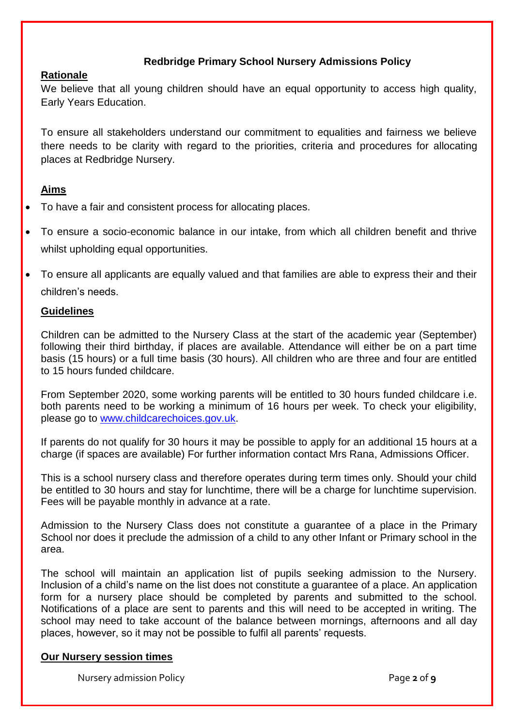# **Redbridge Primary School Nursery Admissions Policy**

## **Rationale**

We believe that all young children should have an equal opportunity to access high quality, Early Years Education.

To ensure all stakeholders understand our commitment to equalities and fairness we believe there needs to be clarity with regard to the priorities, criteria and procedures for allocating places at Redbridge Nursery.

# **Aims**

- To have a fair and consistent process for allocating places.
- To ensure a socio-economic balance in our intake, from which all children benefit and thrive whilst upholding equal opportunities.
- To ensure all applicants are equally valued and that families are able to express their and their children's needs.

### **Guidelines**

Children can be admitted to the Nursery Class at the start of the academic year (September) following their third birthday, if places are available. Attendance will either be on a part time basis (15 hours) or a full time basis (30 hours). All children who are three and four are entitled to 15 hours funded childcare.

From September 2020, some working parents will be entitled to 30 hours funded childcare i.e. both parents need to be working a minimum of 16 hours per week. To check your eligibility, please go to [www.childcarechoices.gov.uk.](http://www.childcarechoices.gov.uk/)

If parents do not qualify for 30 hours it may be possible to apply for an additional 15 hours at a charge (if spaces are available) For further information contact Mrs Rana, Admissions Officer.

This is a school nursery class and therefore operates during term times only. Should your child be entitled to 30 hours and stay for lunchtime, there will be a charge for lunchtime supervision. Fees will be payable monthly in advance at a rate.

Admission to the Nursery Class does not constitute a guarantee of a place in the Primary School nor does it preclude the admission of a child to any other Infant or Primary school in the area.

The school will maintain an application list of pupils seeking admission to the Nursery. Inclusion of a child's name on the list does not constitute a guarantee of a place. An application form for a nursery place should be completed by parents and submitted to the school. Notifications of a place are sent to parents and this will need to be accepted in writing. The school may need to take account of the balance between mornings, afternoons and all day places, however, so it may not be possible to fulfil all parents' requests.

### **Our Nursery session times**

Nursery admission Policy **Page 2** of **9**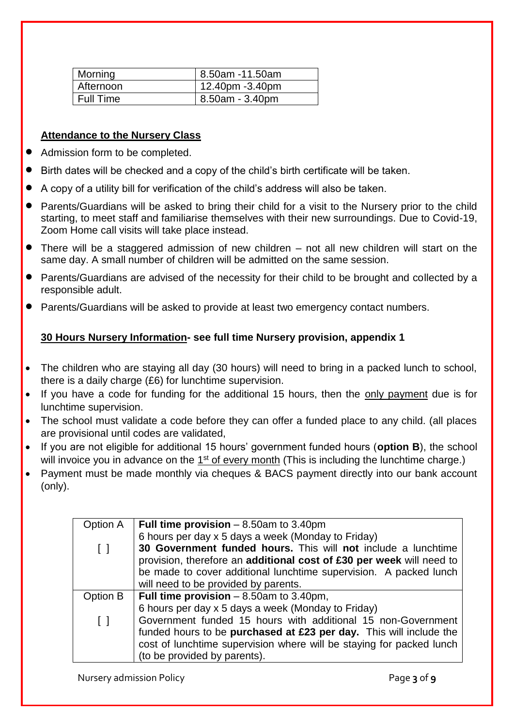| Morning     | 8.50am -11.50am |
|-------------|-----------------|
| Afternoon   | 12.40pm -3.40pm |
| l Full Time | 8.50am - 3.40pm |

# **Attendance to the Nursery Class**

- Admission form to be completed.
- Birth dates will be checked and a copy of the child's birth certificate will be taken.
- A copy of a utility bill for verification of the child's address will also be taken.
- Parents/Guardians will be asked to bring their child for a visit to the Nursery prior to the child starting, to meet staff and familiarise themselves with their new surroundings. Due to Covid-19, Zoom Home call visits will take place instead.
- There will be a staggered admission of new children not all new children will start on the same day. A small number of children will be admitted on the same session.
- Parents/Guardians are advised of the necessity for their child to be brought and collected by a responsible adult.
- Parents/Guardians will be asked to provide at least two emergency contact numbers.

# **30 Hours Nursery Information- see full time Nursery provision, appendix 1**

- The children who are staying all day (30 hours) will need to bring in a packed lunch to school, there is a daily charge (£6) for lunchtime supervision.
- If you have a code for funding for the additional 15 hours, then the only payment due is for lunchtime supervision.
- The school must validate a code before they can offer a funded place to any child. (all places are provisional until codes are validated,
- If you are not eligible for additional 15 hours' government funded hours (**option B**), the school will invoice you in advance on the 1<sup>st</sup> of every month (This is including the lunchtime charge.)
- Payment must be made monthly via cheques & BACS payment directly into our bank account (only).

| Option A | Full time provision $-8.50$ am to 3.40pm                             |
|----------|----------------------------------------------------------------------|
|          | 6 hours per day x 5 days a week (Monday to Friday)                   |
| $\Box$   | 30 Government funded hours. This will not include a lunchtime        |
|          | provision, therefore an additional cost of £30 per week will need to |
|          | be made to cover additional lunchtime supervision. A packed lunch    |
|          | will need to be provided by parents.                                 |
| Option B | Full time provision $-8.50$ am to 3.40pm,                            |
|          | 6 hours per day x 5 days a week (Monday to Friday)                   |
| $\Box$   | Government funded 15 hours with additional 15 non-Government         |
|          | funded hours to be purchased at £23 per day. This will include the   |
|          | cost of lunchtime supervision where will be staying for packed lunch |
|          | (to be provided by parents).                                         |

Nursery admission Policy Page **3** of **9**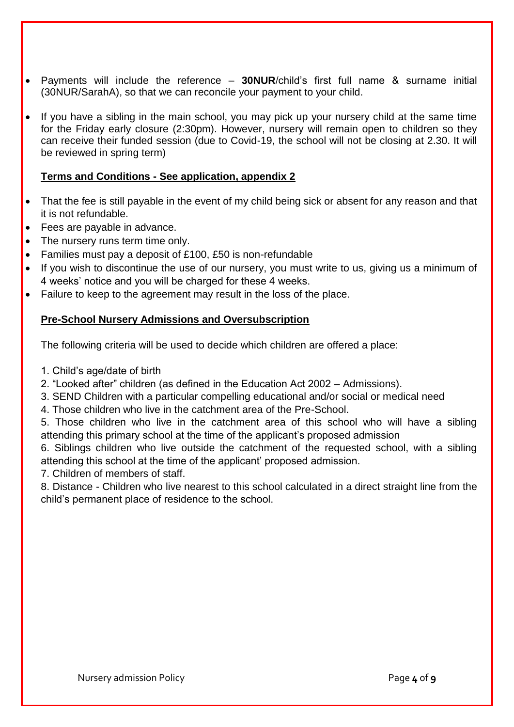- Payments will include the reference **30NUR**/child's first full name & surname initial (30NUR/SarahA), so that we can reconcile your payment to your child.
- If you have a sibling in the main school, you may pick up your nursery child at the same time for the Friday early closure (2:30pm). However, nursery will remain open to children so they can receive their funded session (due to Covid-19, the school will not be closing at 2.30. It will be reviewed in spring term)

# **Terms and Conditions - See application, appendix 2**

- That the fee is still payable in the event of my child being sick or absent for any reason and that it is not refundable.
- Fees are payable in advance.
- The nursery runs term time only.
- Families must pay a deposit of £100, £50 is non-refundable
- If you wish to discontinue the use of our nursery, you must write to us, giving us a minimum of 4 weeks' notice and you will be charged for these 4 weeks.
- Failure to keep to the agreement may result in the loss of the place.

## **Pre-School Nursery Admissions and Oversubscription**

The following criteria will be used to decide which children are offered a place:

- 1. Child's age/date of birth
- 2. "Looked after" children (as defined in the Education Act 2002 Admissions).
- 3. SEND Children with a particular compelling educational and/or social or medical need
- 4. Those children who live in the catchment area of the Pre-School.
- 5. Those children who live in the catchment area of this school who will have a sibling attending this primary school at the time of the applicant's proposed admission

6. Siblings children who live outside the catchment of the requested school, with a sibling attending this school at the time of the applicant' proposed admission.

7. Children of members of staff.

8. Distance - Children who live nearest to this school calculated in a direct straight line from the child's permanent place of residence to the school.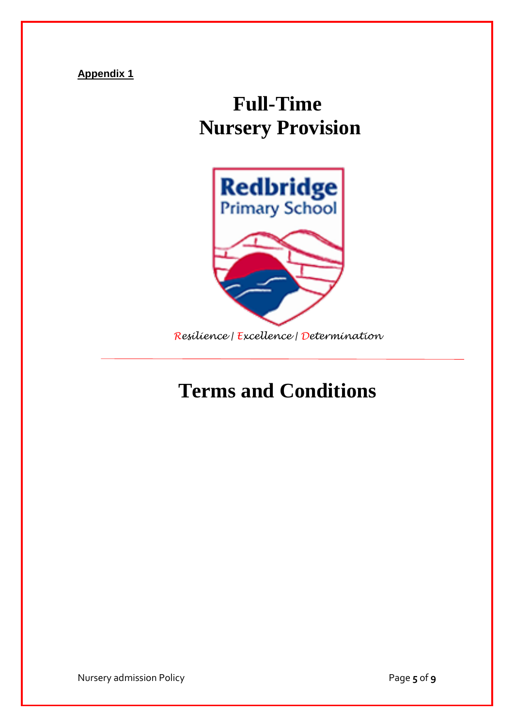**Appendix 1**

# **Full-Time Nursery Provision**



*Resilience | Excellence | Determination* 

# **Terms and Conditions**

Nursery admission Policy Page **5** of **9**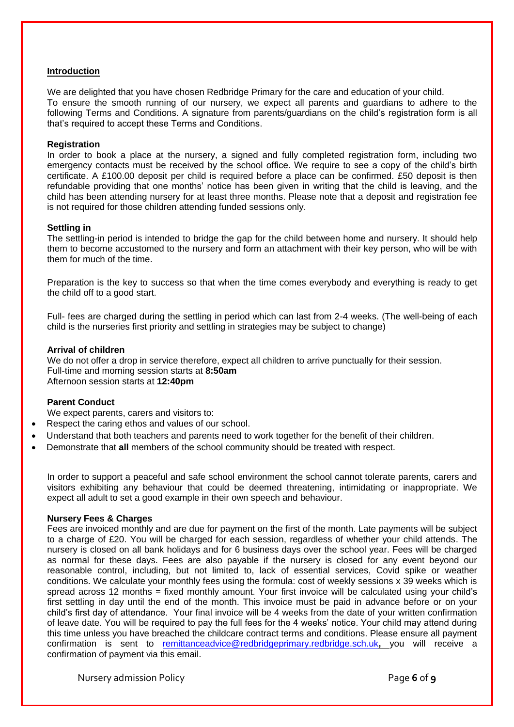#### **Introduction**

We are delighted that you have chosen Redbridge Primary for the care and education of your child. To ensure the smooth running of our nursery, we expect all parents and guardians to adhere to the following Terms and Conditions. A signature from parents/guardians on the child's registration form is all that's required to accept these Terms and Conditions.

#### **Registration**

In order to book a place at the nursery, a signed and fully completed registration form, including two emergency contacts must be received by the school office. We require to see a copy of the child's birth certificate. A £100.00 deposit per child is required before a place can be confirmed. £50 deposit is then refundable providing that one months' notice has been given in writing that the child is leaving, and the child has been attending nursery for at least three months. Please note that a deposit and registration fee is not required for those children attending funded sessions only.

#### **Settling in**

The settling-in period is intended to bridge the gap for the child between home and nursery. It should help them to become accustomed to the nursery and form an attachment with their key person, who will be with them for much of the time.

Preparation is the key to success so that when the time comes everybody and everything is ready to get the child off to a good start.

Full- fees are charged during the settling in period which can last from 2-4 weeks. (The well-being of each child is the nurseries first priority and settling in strategies may be subject to change)

#### **Arrival of children**

We do not offer a drop in service therefore, expect all children to arrive punctually for their session. Full-time and morning session starts at **8:50am**  Afternoon session starts at **12:40pm**

#### **Parent Conduct**

We expect parents, carers and visitors to:

- Respect the caring ethos and values of our school.
- Understand that both teachers and parents need to work together for the benefit of their children.
- Demonstrate that **all** members of the school community should be treated with respect.

In order to support a peaceful and safe school environment the school cannot tolerate parents, carers and visitors exhibiting any behaviour that could be deemed threatening, intimidating or inappropriate. We expect all adult to set a good example in their own speech and behaviour.

#### **Nursery Fees & Charges**

Fees are invoiced monthly and are due for payment on the first of the month. Late payments will be subject to a charge of £20. You will be charged for each session, regardless of whether your child attends. The nursery is closed on all bank holidays and for 6 business days over the school year. Fees will be charged as normal for these days. Fees are also payable if the nursery is closed for any event beyond our reasonable control, including, but not limited to, lack of essential services, Covid spike or weather conditions. We calculate your monthly fees using the formula: cost of weekly sessions x 39 weeks which is spread across 12 months = fixed monthly amount. Your first invoice will be calculated using your child's first settling in day until the end of the month. This invoice must be paid in advance before or on your child's first day of attendance. Your final invoice will be 4 weeks from the date of your written confirmation of leave date. You will be required to pay the full fees for the 4 weeks' notice. Your child may attend during this time unless you have breached the childcare contract terms and conditions. Please ensure all payment confirmation is sent to [remittanceadvice@redbridgeprimary.redbridge.sch.uk](mailto:remittanceadvice@redbridgeprimary.redbridge.sch.uk)**,** you will receive a confirmation of payment via this email.

Nursery admission Policy Page **6** of **9**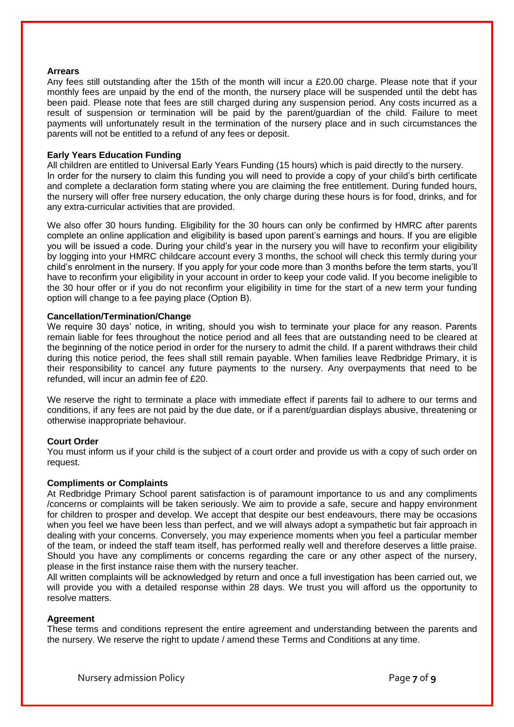#### **Arrears**

Any fees still outstanding after the 15th of the month will incur a £20.00 charge. Please note that if your monthly fees are unpaid by the end of the month, the nursery place will be suspended until the debt has been paid. Please note that fees are still charged during any suspension period. Any costs incurred as a result of suspension or termination will be paid by the parent/guardian of the child. Failure to meet payments will unfortunately result in the termination of the nursery place and in such circumstances the parents will not be entitled to a refund of any fees or deposit.

#### **Early Years Education Funding**

All children are entitled to Universal Early Years Funding (15 hours) which is paid directly to the nursery. In order for the nursery to claim this funding you will need to provide a copy of your child's birth certificate and complete a declaration form stating where you are claiming the free entitlement. During funded hours, the nursery will offer free nursery education, the only charge during these hours is for food, drinks, and for any extra-curricular activities that are provided.

We also offer 30 hours funding. Eligibility for the 30 hours can only be confirmed by HMRC after parents complete an online application and eligibility is based upon parent's earnings and hours. If you are eligible you will be issued a code. During your child's year in the nursery you will have to reconfirm your eligibility by logging into your HMRC childcare account every 3 months, the school will check this termly during your child's enrolment in the nursery. If you apply for your code more than 3 months before the term starts, you'll have to reconfirm your eligibility in your account in order to keep your code valid. If you become ineligible to the 30 hour offer or if you do not reconfirm your eligibility in time for the start of a new term your funding option will change to a fee paying place (Option B).

#### **Cancellation/Termination/Change**

We require 30 days' notice, in writing, should you wish to terminate your place for any reason. Parents remain liable for fees throughout the notice period and all fees that are outstanding need to be cleared at the beginning of the notice period in order for the nursery to admit the child. If a parent withdraws their child during this notice period, the fees shall still remain payable. When families leave Redbridge Primary, it is their responsibility to cancel any future payments to the nursery. Any overpayments that need to be refunded, will incur an admin fee of £20.

We reserve the right to terminate a place with immediate effect if parents fail to adhere to our terms and conditions, if any fees are not paid by the due date, or if a parent/guardian displays abusive, threatening or otherwise inappropriate behaviour.

#### **Court Order**

You must inform us if your child is the subject of a court order and provide us with a copy of such order on request.

#### **Compliments or Complaints**

At Redbridge Primary School parent satisfaction is of paramount importance to us and any compliments /concerns or complaints will be taken seriously. We aim to provide a safe, secure and happy environment for children to prosper and develop. We accept that despite our best endeavours, there may be occasions when you feel we have been less than perfect, and we will always adopt a sympathetic but fair approach in dealing with your concerns. Conversely, you may experience moments when you feel a particular member of the team, or indeed the staff team itself, has performed really well and therefore deserves a little praise. Should you have any compliments or concerns regarding the care or any other aspect of the nursery, please in the first instance raise them with the nursery teacher.

All written complaints will be acknowledged by return and once a full investigation has been carried out, we will provide you with a detailed response within 28 days. We trust you will afford us the opportunity to resolve matters.

#### **Agreement**

These terms and conditions represent the entire agreement and understanding between the parents and the nursery. We reserve the right to update / amend these Terms and Conditions at any time.

Nursery admission Policy Page **7** of **9**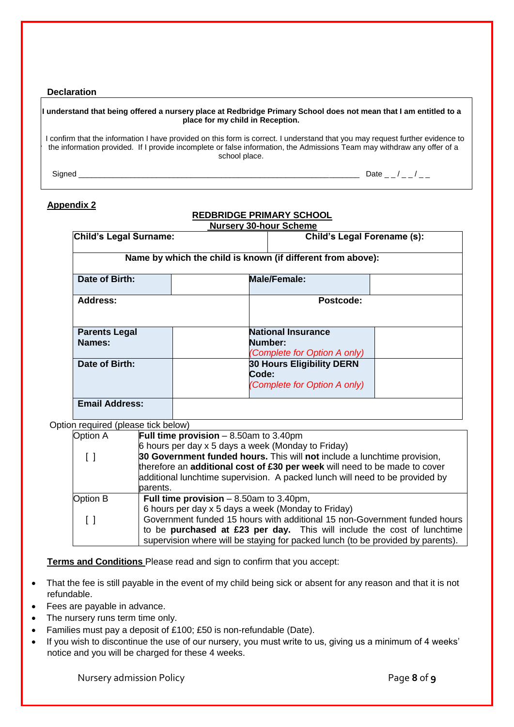#### **Declaration**

# **I understand that being offered a nursery place at Redbridge Primary School does not mean that I am entitled to a place for my child in Reception.** I confirm that the information I have provided on this form is correct. I understand that you may request further evidence to the information provided. If I provide incomplete or false information, the Admissions Team may withdraw any offer of a school place. Signed \_\_\_\_\_\_\_\_\_\_\_\_\_\_\_\_\_\_\_\_\_\_\_\_\_\_\_\_\_\_\_\_\_\_\_\_\_\_\_\_\_\_\_\_\_\_\_\_\_\_\_\_\_\_\_\_\_\_\_\_\_\_\_\_\_ Date \_ \_ / \_ \_ / \_ \_ **Appendix 2**

## **REDBRIDGE PRIMARY SCHOOL**

| Child's Legal Surname: | <b>Child's Legal Forename (s):</b>                          |
|------------------------|-------------------------------------------------------------|
|                        | Name by which the child is known (if different from above): |
| Date of Birth:         | <b>Male/Female:</b>                                         |
| <b>Address:</b>        | Postcode:                                                   |
| <b>Parents Legal</b>   | <b>National Insurance</b>                                   |
| Names:                 | Number:<br>(Complete for Option A only)                     |
| Date of Birth:         | <b>30 Hours Eligibility DERN</b><br>Code:                   |
|                        | (Complete for Option A only)                                |

Option required (please tick below)

| Option A | Full time provision $-8.50$ am to 3.40pm                                        |
|----------|---------------------------------------------------------------------------------|
|          | 6 hours per day x 5 days a week (Monday to Friday)                              |
|          | 30 Government funded hours. This will not include a lunchtime provision,        |
|          | therefore an additional cost of £30 per week will need to be made to cover      |
|          | additional lunchtime supervision. A packed lunch will need to be provided by    |
|          | parents.                                                                        |
| Option B | Full time provision $-8.50$ am to 3.40pm,                                       |
|          | 6 hours per day x 5 days a week (Monday to Friday)                              |
|          | Government funded 15 hours with additional 15 non-Government funded hours       |
|          | to be purchased at £23 per day. This will include the cost of lunchtime         |
|          | supervision where will be staying for packed lunch (to be provided by parents). |

**Terms and Conditions** Please read and sign to confirm that you accept:

- That the fee is still payable in the event of my child being sick or absent for any reason and that it is not refundable.
- Fees are payable in advance.
- The nursery runs term time only.
- Families must pay a deposit of £100; £50 is non-refundable (Date).
- If you wish to discontinue the use of our nursery, you must write to us, giving us a minimum of 4 weeks' notice and you will be charged for these 4 weeks.

Nursery admission Policy Page **8** of **9**